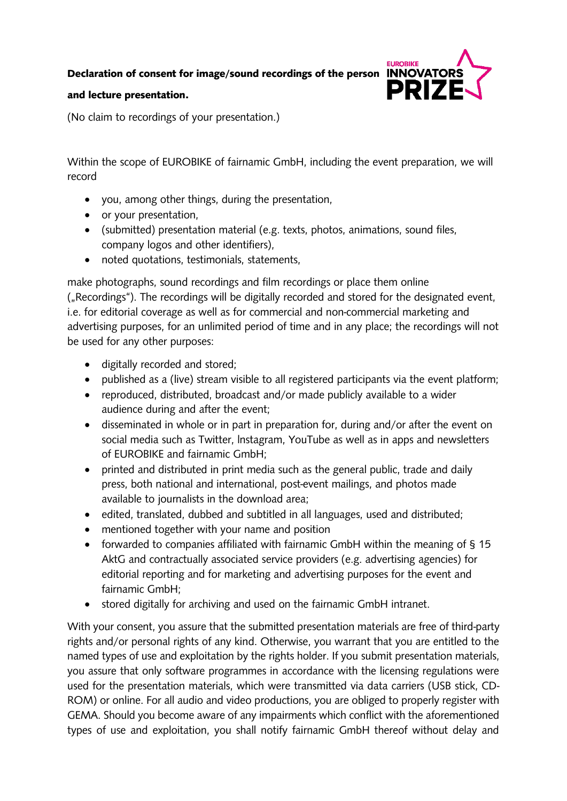Declaration of consent for image/sound recordings of the person INNOVATOR!



## and lecture presentation.

(No claim to recordings of your presentation.)

Within the scope of EUROBIKE of fairnamic GmbH, including the event preparation, we will record

- you, among other things, during the presentation,
- or your presentation,
- (submitted) presentation material (e.g. texts, photos, animations, sound files, company logos and other identifiers),
- noted quotations, testimonials, statements,

make photographs, sound recordings and film recordings or place them online ("Recordings"). The recordings will be digitally recorded and stored for the designated event, i.e. for editorial coverage as well as for commercial and non-commercial marketing and advertising purposes, for an unlimited period of time and in any place; the recordings will not be used for any other purposes:

- digitally recorded and stored;
- published as a (live) stream visible to all registered participants via the event platform;
- reproduced, distributed, broadcast and/or made publicly available to a wider audience during and after the event;
- disseminated in whole or in part in preparation for, during and/or after the event on social media such as Twitter, lnstagram, YouTube as well as in apps and newsletters of EUROBIKE and fairnamic GmbH;
- printed and distributed in print media such as the general public, trade and daily press, both national and international, post-event mailings, and photos made available to journalists in the download area;
- edited, translated, dubbed and subtitled in all languages, used and distributed;
- mentioned together with your name and position
- forwarded to companies affiliated with fairnamic GmbH within the meaning of § 15 AktG and contractually associated service providers (e.g. advertising agencies) for editorial reporting and for marketing and advertising purposes for the event and fairnamic GmbH;
- stored digitally for archiving and used on the fairnamic GmbH intranet.

With your consent, you assure that the submitted presentation materials are free of third-party rights and/or personal rights of any kind. Otherwise, you warrant that you are entitled to the named types of use and exploitation by the rights holder. If you submit presentation materials, you assure that only software programmes in accordance with the licensing regulations were used for the presentation materials, which were transmitted via data carriers (USB stick, CD-ROM) or online. For all audio and video productions, you are obliged to properly register with GEMA. Should you become aware of any impairments which conflict with the aforementioned types of use and exploitation, you shall notify fairnamic GmbH thereof without delay and